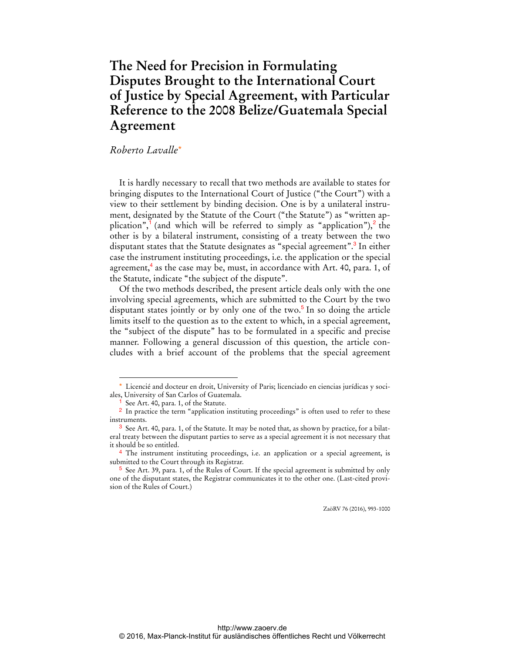## **The Need for Precision in Formulating Disputes Brought to the International Court of Justice by Special Agreement, with Particular Reference to the 2008 Belize/Guatemala Special Agreement**

## *Roberto Lavalle*\*

It is hardly necessary to recall that two methods are available to states for bringing disputes to the International Court of Justice ("the Court") with a view to their settlement by binding decision. One is by a unilateral instrument, designated by the Statute of the Court ("the Statute") as "written application",<sup>1</sup> (and which will be referred to simply as "application"),<sup>2</sup> the other is by a bilateral instrument, consisting of a treaty between the two disputant states that the Statute designates as "special agreement".<sup>3</sup> In either case the instrument instituting proceedings, i.e. the application or the special agreement, $4$  as the case may be, must, in accordance with Art. 40, para. 1, of the Statute, indicate "the subject of the dispute".

Of the two methods described, the present article deals only with the one involving special agreements, which are submitted to the Court by the two disputant states jointly or by only one of the two.<sup>5</sup> In so doing the article limits itself to the question as to the extent to which, in a special agreement, the "subject of the dispute" has to be formulated in a specific and precise manner. Following a general discussion of this question, the article concludes with a brief account of the problems that the special agreement

 $\overline{a}$ 

ZaöRV 76 (2016), 993-1000

<sup>\*</sup> Licencié and docteur en droit, University of Paris; licenciado en ciencias jurídicas y sociales, University of San Carlos of Guatemala.

<sup>&</sup>lt;sup>1</sup> See Art. 40, para. 1, of the Statute.

<sup>&</sup>lt;sup>2</sup> In practice the term "application instituting proceedings" is often used to refer to these instruments.

 $3$  See Art. 40, para. 1, of the Statute. It may be noted that, as shown by practice, for a bilateral treaty between the disputant parties to serve as a special agreement it is not necessary that it should be so entitled.

<sup>&</sup>lt;sup>4</sup> The instrument instituting proceedings, i.e. an application or a special agreement, is submitted to the Court through its Registrar.

 $5$  See Art. 39, para. 1, of the Rules of Court. If the special agreement is submitted by only one of the disputant states, the Registrar communicates it to the other one. (Last-cited provision of the Rules of Court.)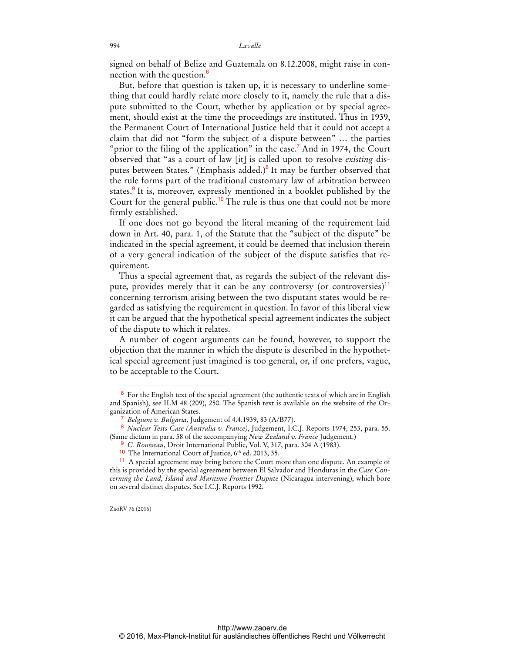signed on behalf of Belize and Guatemala on 8.12.2008, might raise in connection with the question.<sup>6</sup>

But, before that question is taken up, it is necessary to underline something that could hardly relate more closely to it, namely the rule that a dispute submitted to the Court, whether by application or by special agreement, should exist at the time the proceedings are instituted. Thus in 1939, the Permanent Court of International Justice held that it could not accept a claim that did not "form the subject of a dispute between" … the parties "prior to the filing of the application" in the case.<sup>7</sup> And in 1974, the Court observed that "as a court of law [it] is called upon to resolve *existing* disputes between States." (Emphasis added.)<sup>8</sup> It may be further observed that the rule forms part of the traditional customary law of arbitration between states.<sup>9</sup> It is, moreover, expressly mentioned in a booklet published by the Court for the general public.<sup>10</sup> The rule is thus one that could not be more firmly established.

If one does not go beyond the literal meaning of the requirement laid down in Art. 40, para. 1, of the Statute that the "subject of the dispute" be indicated in the special agreement, it could be deemed that inclusion therein of a very general indication of the subject of the dispute satisfies that requirement.

Thus a special agreement that, as regards the subject of the relevant dispute, provides merely that it can be any controversy (or controversies)<sup>11</sup> concerning terrorism arising between the two disputant states would be regarded as satisfying the requirement in question. In favor of this liberal view it can be argued that the hypothetical special agreement indicates the subject of the dispute to which it relates.

A number of cogent arguments can be found, however, to support the objection that the manner in which the dispute is described in the hypothetical special agreement just imagined is too general, or, if one prefers, vague, to be acceptable to the Court.

9 *C. Rousseau*, Droit International Public, Vol. V, 317, para. 304 A (1983).

ZaöRV 76 (2016)

<sup>6</sup> For the English text of the special agreement (the authentic texts of which are in English and Spanish), see ILM 48 (209), 250. The Spanish text is available on the website of the Organization of American States.

<sup>7</sup> *Belgium v. Bulgaria*, Judgement of 4.4.1939, 83 (A/B77).

<sup>8</sup> *Nuclear Tests Case (Australia v. France)*, Judgement, I.C.J. Reports 1974, 253, para. 55. (Same dictum in para. 58 of the accompanying *New Zealand v. France* Judgement.)

 $10$  The International Court of Justice,  $6<sup>th</sup>$  ed. 2013, 35.

<sup>11</sup> A special agreement may bring before the Court more than one dispute. An example of this is provided by the special agreement between El Salvador and Honduras in the *Case Concerning the Land, Island and Maritime Frontier Dispute* (Nicaragua intervening), which bore on several distinct disputes. See I.C.J. Reports 1992.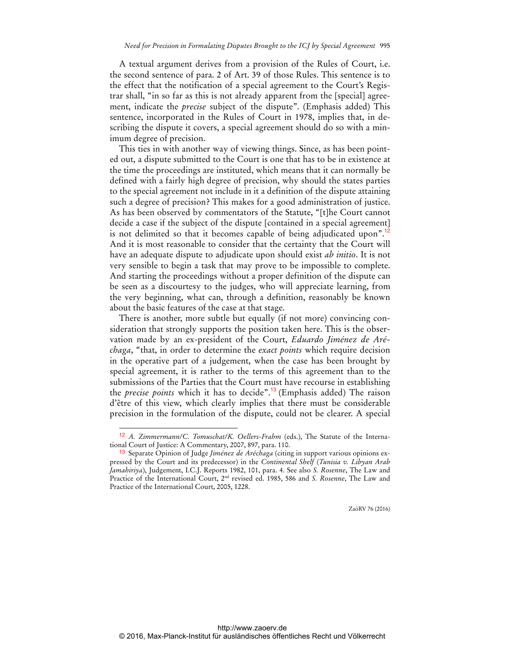A textual argument derives from a provision of the Rules of Court, i.e. the second sentence of para. 2 of Art. 39 of those Rules. This sentence is to the effect that the notification of a special agreement to the Court's Registrar shall, "in so far as this is not already apparent from the [special] agreement, indicate the *precise* subject of the dispute". (Emphasis added) This sentence, incorporated in the Rules of Court in 1978, implies that, in describing the dispute it covers, a special agreement should do so with a minimum degree of precision.

This ties in with another way of viewing things. Since, as has been pointed out, a dispute submitted to the Court is one that has to be in existence at the time the proceedings are instituted, which means that it can normally be defined with a fairly high degree of precision, why should the states parties to the special agreement not include in it a definition of the dispute attaining such a degree of precision? This makes for a good administration of justice. As has been observed by commentators of the Statute, "[t]he Court cannot decide a case if the subject of the dispute [contained in a special agreement] is not delimited so that it becomes capable of being adjudicated upon".<sup>12</sup> And it is most reasonable to consider that the certainty that the Court will have an adequate dispute to adjudicate upon should exist *ab initio*. It is not very sensible to begin a task that may prove to be impossible to complete. And starting the proceedings without a proper definition of the dispute can be seen as a discourtesy to the judges, who will appreciate learning, from the very beginning, what can, through a definition, reasonably be known about the basic features of the case at that stage.

There is another, more subtle but equally (if not more) convincing consideration that strongly supports the position taken here. This is the observation made by an ex-president of the Court, *Eduardo Jiménez de Aréchaga*, "that, in order to determine the *exact points* which require decision in the operative part of a judgement, when the case has been brought by special agreement, it is rather to the terms of this agreement than to the submissions of the Parties that the Court must have recourse in establishing the *precise points* which it has to decide".<sup>13</sup> (Emphasis added) The raison d'être of this view, which clearly implies that there must be considerable precision in the formulation of the dispute, could not be clearer. A special

 $\overline{a}$ 

ZaöRV 76 (2016)

<sup>12</sup> *A. Zimmermann/C. Tomuschat/K. Oellers-Frahm* (eds.), The Statute of the International Court of Justice: A Commentary, 2007, 897, para. 110.

<sup>13</sup> Separate Opinion of Judge *Jiménez de Aréchaga* (citing in support various opinions expressed by the Court and its predecessor) in the *Continental Shelf* (*Tunisia v. Libyan Arab Jamahiriya*), Judgement, I.C.J. Reports 1982, 101, para. 4. See also *S. Rosenne*, The Law and Practice of the International Court, 2nd revised ed. 1985, 586 and *S. Rosenne*, The Law and Practice of the International Court, 2005, 1228.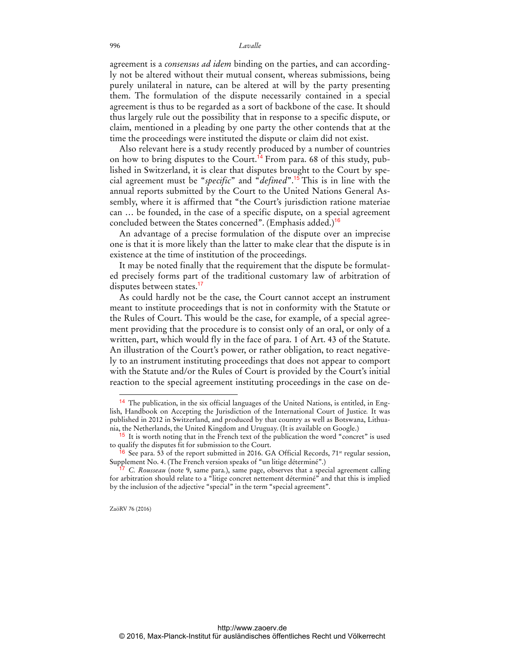## 996 *Lavalle*

agreement is a *consensus ad idem* binding on the parties, and can accordingly not be altered without their mutual consent, whereas submissions, being purely unilateral in nature, can be altered at will by the party presenting them. The formulation of the dispute necessarily contained in a special agreement is thus to be regarded as a sort of backbone of the case. It should thus largely rule out the possibility that in response to a specific dispute, or claim, mentioned in a pleading by one party the other contends that at the time the proceedings were instituted the dispute or claim did not exist.

Also relevant here is a study recently produced by a number of countries on how to bring disputes to the Court.<sup>14</sup> From para. 68 of this study, published in Switzerland, it is clear that disputes brought to the Court by special agreement must be "*specific*" and "*defined*".<sup>15</sup> This is in line with the annual reports submitted by the Court to the United Nations General Assembly, where it is affirmed that "the Court's jurisdiction ratione materiae can … be founded, in the case of a specific dispute, on a special agreement concluded between the States concerned". (Emphasis added.)<sup>16</sup>

An advantage of a precise formulation of the dispute over an imprecise one is that it is more likely than the latter to make clear that the dispute is in existence at the time of institution of the proceedings.

It may be noted finally that the requirement that the dispute be formulated precisely forms part of the traditional customary law of arbitration of disputes between states.<sup>17</sup>

As could hardly not be the case, the Court cannot accept an instrument meant to institute proceedings that is not in conformity with the Statute or the Rules of Court. This would be the case, for example, of a special agreement providing that the procedure is to consist only of an oral, or only of a written, part, which would fly in the face of para. 1 of Art. 43 of the Statute. An illustration of the Court's power, or rather obligation, to react negatively to an instrument instituting proceedings that does not appear to comport with the Statute and/or the Rules of Court is provided by the Court's initial reaction to the special agreement instituting proceedings in the case on de-

ZaöRV 76 (2016)

<sup>14</sup> The publication, in the six official languages of the United Nations, is entitled, in English, Handbook on Accepting the Jurisdiction of the International Court of Justice*.* It was published in 2012 in Switzerland, and produced by that country as well as Botswana, Lithuania, the Netherlands, the United Kingdom and Uruguay. (It is available on Google.)

<sup>15</sup> It is worth noting that in the French text of the publication the word "concret" is used to qualify the disputes fit for submission to the Court.

 $6$  See para. 53 of the report submitted in 2016. GA Official Records, 71<sup>st</sup> regular session, Supplement No. 4. (The French version speaks of "un litige déterminé".)

<sup>17</sup> *C. Rousseau* (note 9, same para.), same page, observes that a special agreement calling for arbitration should relate to a "litige concret nettement déterminé" and that this is implied by the inclusion of the adjective "special" in the term "special agreement".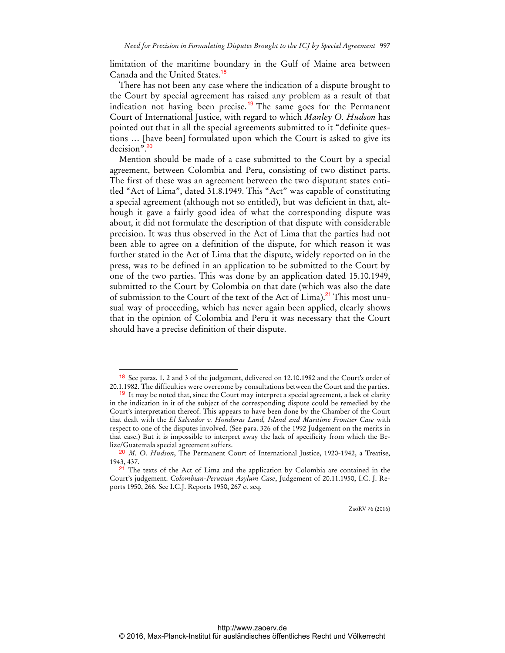limitation of the maritime boundary in the Gulf of Maine area between Canada and the United States.<sup>18</sup>

There has not been any case where the indication of a dispute brought to the Court by special agreement has raised any problem as a result of that indication not having been precise.<sup>19</sup> The same goes for the Permanent Court of International Justice, with regard to which *Manley O. Hudson* has pointed out that in all the special agreements submitted to it "definite questions … [have been] formulated upon which the Court is asked to give its decision".<sup>20</sup>

Mention should be made of a case submitted to the Court by a special agreement, between Colombia and Peru, consisting of two distinct parts. The first of these was an agreement between the two disputant states entitled "Act of Lima", dated 31.8.1949. This "Act" was capable of constituting a special agreement (although not so entitled), but was deficient in that, although it gave a fairly good idea of what the corresponding dispute was about, it did not formulate the description of that dispute with considerable precision. It was thus observed in the Act of Lima that the parties had not been able to agree on a definition of the dispute, for which reason it was further stated in the Act of Lima that the dispute, widely reported on in the press, was to be defined in an application to be submitted to the Court by one of the two parties. This was done by an application dated 15.10.1949, submitted to the Court by Colombia on that date (which was also the date of submission to the Court of the text of the Act of Lima).<sup>21</sup> This most unusual way of proceeding, which has never again been applied, clearly shows that in the opinion of Colombia and Peru it was necessary that the Court should have a precise definition of their dispute.

 $\overline{a}$ 

ZaöRV 76 (2016)

<sup>18</sup> See paras. 1, 2 and 3 of the judgement, delivered on 12.10.1982 and the Court's order of 20.1.1982. The difficulties were overcome by consultations between the Court and the parties.

 $19$  It may be noted that, since the Court may interpret a special agreement, a lack of clarity in the indication in it of the subject of the corresponding dispute could be remedied by the Court's interpretation thereof. This appears to have been done by the Chamber of the Court that dealt with the *El Salvador v. Honduras Land, Island and Maritime Frontier Case* with respect to one of the disputes involved. (See para. 326 of the 1992 Judgement on the merits in that case.) But it is impossible to interpret away the lack of specificity from which the Belize/Guatemala special agreement suffers.

<sup>20</sup> *M. O. Hudson*, The Permanent Court of International Justice, 1920-1942, a Treatise, 1943, 437.

 $2<sup>1</sup>$  The texts of the Act of Lima and the application by Colombia are contained in the Court's judgement. *Colombian-Peruvian Asylum Case*, Judgement of 20.11.1950, I.C. J. Reports 1950, 266. See I.C.J. Reports 1950, 267 et seq.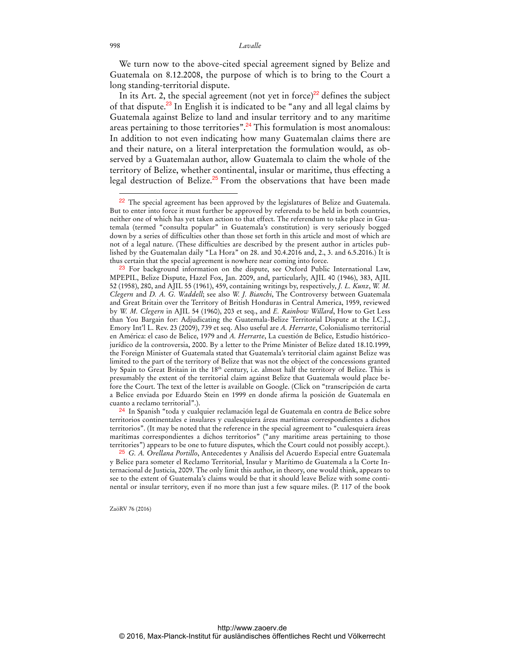We turn now to the above-cited special agreement signed by Belize and Guatemala on 8.12.2008, the purpose of which is to bring to the Court a long standing-territorial dispute.

In its Art. 2, the special agreement (not yet in force)<sup>22</sup> defines the subject of that dispute.<sup>23</sup> In English it is indicated to be "any and all legal claims by Guatemala against Belize to land and insular territory and to any maritime areas pertaining to those territories".<sup>24</sup> This formulation is most anomalous: In addition to not even indicating how many Guatemalan claims there are and their nature, on a literal interpretation the formulation would, as observed by a Guatemalan author, allow Guatemala to claim the whole of the territory of Belize, whether continental, insular or maritime, thus effecting a legal destruction of Belize.<sup>25</sup> From the observations that have been made

ZaöRV 76 (2016)

<sup>&</sup>lt;sup>22</sup> The special agreement has been approved by the legislatures of Belize and Guatemala. But to enter into force it must further be approved by referenda to be held in both countries, neither one of which has yet taken action to that effect. The referendum to take place in Guatemala (termed "consulta popular" in Guatemala's constitution) is very seriously bogged down by a series of difficulties other than those set forth in this article and most of which are not of a legal nature. (These difficulties are described by the present author in articles published by the Guatemalan daily "La Hora" on 28. and 30.4.2016 and, 2., 3. and 6.5.2016.) It is thus certain that the special agreement is nowhere near coming into force.

<sup>&</sup>lt;sup>23</sup> For background information on the dispute, see Oxford Public International Law, MPEPIL, Belize Dispute, Hazel Fox, Jan. 2009, and, particularly, AJIL 40 (1946), 383, AJIL 52 (1958), 280, and AJIL 55 (1961), 459, containing writings by, respectively, *J. L. Kunz*, *W. M. Clegern* and *D. A. G. Waddell*; see also *W. J. Bianchi*, The Controversy between Guatemala and Great Britain over the Territory of British Honduras in Central America, 1959, reviewed by *W. M. Clegern* in AJIL 54 (1960), 203 et seq., and *E. Rainbow Willard*, How to Get Less than You Bargain for: Adjudicating the Guatemala-Belize Territorial Dispute at the I.C.J., Emory Int'l L. Rev. 23 (2009), 739 et seq. Also useful are *A. Herrarte*, Colonialismo territorial en América: el caso de Belice, 1979 and *A. Herrarte*, La cuestión de Belice, Estudio históricojurídico de la controversia, 2000. By a letter to the Prime Minister of Belize dated 18.10.1999, the Foreign Minister of Guatemala stated that Guatemala's territorial claim against Belize was limited to the part of the territory of Belize that was not the object of the concessions granted by Spain to Great Britain in the 18<sup>th</sup> century, i.e. almost half the territory of Belize. This is presumably the extent of the territorial claim against Belize that Guatemala would place before the Court. The text of the letter is available on Google. (Click on "transcripción de carta a Belice enviada por Eduardo Stein en 1999 en donde afirma la posición de Guatemala en cuanto a reclamo territorial".).

<sup>24</sup> In Spanish "toda y cualquier reclamación legal de Guatemala en contra de Belice sobre territorios continentales e insulares y cualesquiera áreas marítimas correspondientes a dichos territorios". (It may be noted that the reference in the special agreement to "cualesquiera áreas marítimas correspondientes a dichos territorios" ("any maritime areas pertaining to those territories") appears to be one to future disputes, which the Court could not possibly accept.).

<sup>25</sup> *G. A. Orellana Portillo*, Antecedentes y Análisis del Acuerdo Especial entre Guatemala y Belice para someter el Reclamo Territorial, Insular y Marítimo de Guatemala a la Corte Internacional de Justicia, 2009. The only limit this author, in theory, one would think, appears to see to the extent of Guatemala's claims would be that it should leave Belize with some continental or insular territory, even if no more than just a few square miles. (P. 117 of the book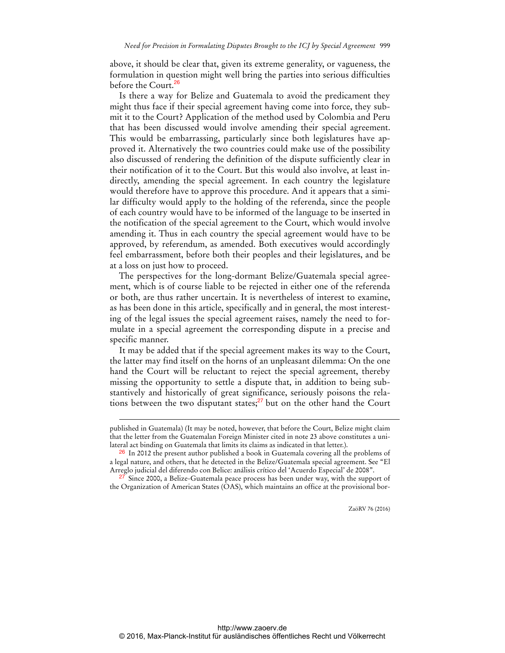above, it should be clear that, given its extreme generality, or vagueness, the formulation in question might well bring the parties into serious difficulties before the Court.<sup>26</sup>

Is there a way for Belize and Guatemala to avoid the predicament they might thus face if their special agreement having come into force, they submit it to the Court? Application of the method used by Colombia and Peru that has been discussed would involve amending their special agreement. This would be embarrassing, particularly since both legislatures have approved it. Alternatively the two countries could make use of the possibility also discussed of rendering the definition of the dispute sufficiently clear in their notification of it to the Court. But this would also involve, at least indirectly, amending the special agreement. In each country the legislature would therefore have to approve this procedure. And it appears that a similar difficulty would apply to the holding of the referenda, since the people of each country would have to be informed of the language to be inserted in the notification of the special agreement to the Court, which would involve amending it. Thus in each country the special agreement would have to be approved, by referendum, as amended. Both executives would accordingly feel embarrassment, before both their peoples and their legislatures, and be at a loss on just how to proceed.

The perspectives for the long-dormant Belize/Guatemala special agreement, which is of course liable to be rejected in either one of the referenda or both, are thus rather uncertain. It is nevertheless of interest to examine, as has been done in this article, specifically and in general, the most interesting of the legal issues the special agreement raises, namely the need to formulate in a special agreement the corresponding dispute in a precise and specific manner.

It may be added that if the special agreement makes its way to the Court, the latter may find itself on the horns of an unpleasant dilemma: On the one hand the Court will be reluctant to reject the special agreement, thereby missing the opportunity to settle a dispute that, in addition to being substantively and historically of great significance, seriously poisons the relations between the two disputant states; $27$  but on the other hand the Court

 $\overline{a}$ 

ZaöRV 76 (2016)

published in Guatemala) (It may be noted, however, that before the Court, Belize might claim that the letter from the Guatemalan Foreign Minister cited in note 23 above constitutes a unilateral act binding on Guatemala that limits its claims as indicated in that letter.).

<sup>26</sup> In 2012 the present author published a book in Guatemala covering all the problems of a legal nature, and others, that he detected in the Belize/Guatemala special agreement. See "El Arreglo judicial del diferendo con Belice: análisis crítico del 'Acuerdo Especial' de 2008".

<sup>&</sup>lt;sup>27</sup> Since 2000, a Belize-Guatemala peace process has been under way, with the support of the Organization of American States (OAS), which maintains an office at the provisional bor-